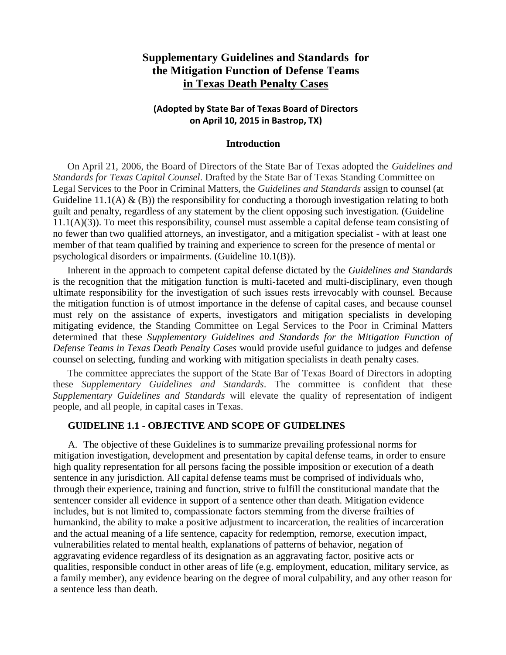# **Supplementary Guidelines and Standards for the Mitigation Function of Defense Teams in Texas Death Penalty Cases**

### **(Adopted by State Bar of Texas Board of Directors on April 10, 2015 in Bastrop, TX)**

#### **Introduction**

On April 21, 2006, the Board of Directors of the State Bar of Texas adopted the *Guidelines and Standards for Texas Capital Counsel*. Drafted by the State Bar of Texas Standing Committee on Legal Services to the Poor in Criminal Matters, the *Guidelines and Standards* assign to counsel (at Guideline 11.1(A)  $\&$  (B)) the responsibility for conducting a thorough investigation relating to both guilt and penalty, regardless of any statement by the client opposing such investigation. (Guideline 11.1(A)(3)). To meet this responsibility, counsel must assemble a capital defense team consisting of no fewer than two qualified attorneys, an investigator, and a mitigation specialist - with at least one member of that team qualified by training and experience to screen for the presence of mental or psychological disorders or impairments. (Guideline 10.1(B)).

Inherent in the approach to competent capital defense dictated by the *Guidelines and Standards* is the recognition that the mitigation function is multi-faceted and multi-disciplinary, even though ultimate responsibility for the investigation of such issues rests irrevocably with counsel. Because the mitigation function is of utmost importance in the defense of capital cases, and because counsel must rely on the assistance of experts, investigators and mitigation specialists in developing mitigating evidence, the Standing Committee on Legal Services to the Poor in Criminal Matters determined that these *Supplementary Guidelines and Standards for the Mitigation Function of Defense Teams in Texas Death Penalty Cases* would provide useful guidance to judges and defense counsel on selecting, funding and working with mitigation specialists in death penalty cases.

The committee appreciates the support of the State Bar of Texas Board of Directors in adopting these *Supplementary Guidelines and Standards*. The committee is confident that these *Supplementary Guidelines and Standards* will elevate the quality of representation of indigent people, and all people, in capital cases in Texas.

#### **GUIDELINE 1.1 - OBJECTIVE AND SCOPE OF GUIDELINES**

A. The objective of these Guidelines is to summarize prevailing professional norms for mitigation investigation, development and presentation by capital defense teams, in order to ensure high quality representation for all persons facing the possible imposition or execution of a death sentence in any jurisdiction. All capital defense teams must be comprised of individuals who, through their experience, training and function, strive to fulfill the constitutional mandate that the sentencer consider all evidence in support of a sentence other than death. Mitigation evidence includes, but is not limited to, compassionate factors stemming from the diverse frailties of humankind, the ability to make a positive adjustment to incarceration, the realities of incarceration and the actual meaning of a life sentence, capacity for redemption, remorse, execution impact, vulnerabilities related to mental health, explanations of patterns of behavior, negation of aggravating evidence regardless of its designation as an aggravating factor, positive acts or qualities, responsible conduct in other areas of life (e.g. employment, education, military service, as a family member), any evidence bearing on the degree of moral culpability, and any other reason for a sentence less than death.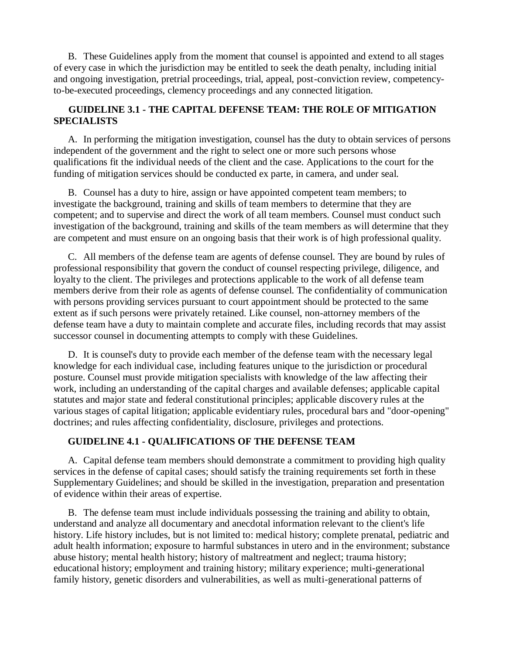B. These Guidelines apply from the moment that counsel is appointed and extend to all stages of every case in which the jurisdiction may be entitled to seek the death penalty, including initial and ongoing investigation, pretrial proceedings, trial, appeal, post-conviction review, competencyto-be-executed proceedings, clemency proceedings and any connected litigation.

### **GUIDELINE 3.1 - THE CAPITAL DEFENSE TEAM: THE ROLE OF MITIGATION SPECIALISTS**

A. In performing the mitigation investigation, counsel has the duty to obtain services of persons independent of the government and the right to select one or more such persons whose qualifications fit the individual needs of the client and the case. Applications to the court for the funding of mitigation services should be conducted ex parte, in camera, and under seal.

B. Counsel has a duty to hire, assign or have appointed competent team members; to investigate the background, training and skills of team members to determine that they are competent; and to supervise and direct the work of all team members. Counsel must conduct such investigation of the background, training and skills of the team members as will determine that they are competent and must ensure on an ongoing basis that their work is of high professional quality.

C. All members of the defense team are agents of defense counsel. They are bound by rules of professional responsibility that govern the conduct of counsel respecting privilege, diligence, and loyalty to the client. The privileges and protections applicable to the work of all defense team members derive from their role as agents of defense counsel. The confidentiality of communication with persons providing services pursuant to court appointment should be protected to the same extent as if such persons were privately retained. Like counsel, non-attorney members of the defense team have a duty to maintain complete and accurate files, including records that may assist successor counsel in documenting attempts to comply with these Guidelines.

D. It is counsel's duty to provide each member of the defense team with the necessary legal knowledge for each individual case, including features unique to the jurisdiction or procedural posture. Counsel must provide mitigation specialists with knowledge of the law affecting their work, including an understanding of the capital charges and available defenses; applicable capital statutes and major state and federal constitutional principles; applicable discovery rules at the various stages of capital litigation; applicable evidentiary rules, procedural bars and "door-opening" doctrines; and rules affecting confidentiality, disclosure, privileges and protections.

#### **GUIDELINE 4.1 - QUALIFICATIONS OF THE DEFENSE TEAM**

A. Capital defense team members should demonstrate a commitment to providing high quality services in the defense of capital cases; should satisfy the training requirements set forth in these Supplementary Guidelines; and should be skilled in the investigation, preparation and presentation of evidence within their areas of expertise.

B. The defense team must include individuals possessing the training and ability to obtain, understand and analyze all documentary and anecdotal information relevant to the client's life history. Life history includes, but is not limited to: medical history; complete prenatal, pediatric and adult health information; exposure to harmful substances in utero and in the environment; substance abuse history; mental health history; history of maltreatment and neglect; trauma history; educational history; employment and training history; military experience; multi-generational family history, genetic disorders and vulnerabilities, as well as multi-generational patterns of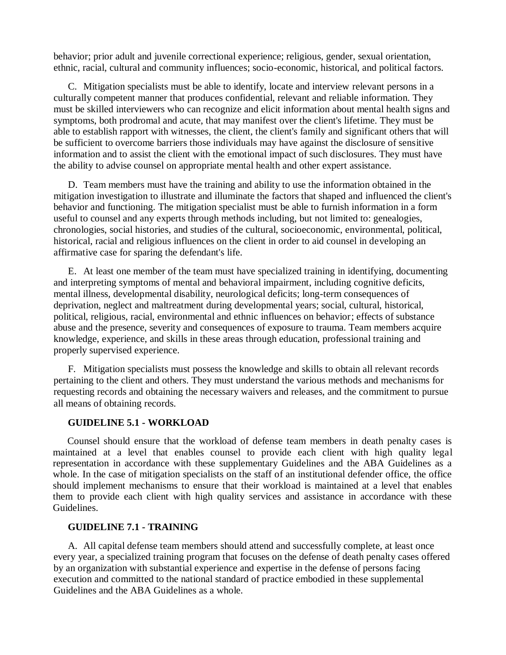behavior; prior adult and juvenile correctional experience; religious, gender, sexual orientation, ethnic, racial, cultural and community influences; socio-economic, historical, and political factors.

C. Mitigation specialists must be able to identify, locate and interview relevant persons in a culturally competent manner that produces confidential, relevant and reliable information. They must be skilled interviewers who can recognize and elicit information about mental health signs and symptoms, both prodromal and acute, that may manifest over the client's lifetime. They must be able to establish rapport with witnesses, the client, the client's family and significant others that will be sufficient to overcome barriers those individuals may have against the disclosure of sensitive information and to assist the client with the emotional impact of such disclosures. They must have the ability to advise counsel on appropriate mental health and other expert assistance.

D. Team members must have the training and ability to use the information obtained in the mitigation investigation to illustrate and illuminate the factors that shaped and influenced the client's behavior and functioning. The mitigation specialist must be able to furnish information in a form useful to counsel and any experts through methods including, but not limited to: genealogies, chronologies, social histories, and studies of the cultural, socioeconomic, environmental, political, historical, racial and religious influences on the client in order to aid counsel in developing an affirmative case for sparing the defendant's life.

E. At least one member of the team must have specialized training in identifying, documenting and interpreting symptoms of mental and behavioral impairment, including cognitive deficits, mental illness, developmental disability, neurological deficits; long-term consequences of deprivation, neglect and maltreatment during developmental years; social, cultural, historical, political, religious, racial, environmental and ethnic influences on behavior; effects of substance abuse and the presence, severity and consequences of exposure to trauma. Team members acquire knowledge, experience, and skills in these areas through education, professional training and properly supervised experience.

F. Mitigation specialists must possess the knowledge and skills to obtain all relevant records pertaining to the client and others. They must understand the various methods and mechanisms for requesting records and obtaining the necessary waivers and releases, and the commitment to pursue all means of obtaining records.

### **GUIDELINE 5.1 - WORKLOAD**

Counsel should ensure that the workload of defense team members in death penalty cases is maintained at a level that enables counsel to provide each client with high quality legal representation in accordance with these supplementary Guidelines and the ABA Guidelines as a whole. In the case of mitigation specialists on the staff of an institutional defender office, the office should implement mechanisms to ensure that their workload is maintained at a level that enables them to provide each client with high quality services and assistance in accordance with these Guidelines.

#### **GUIDELINE 7.1 - TRAINING**

A. All capital defense team members should attend and successfully complete, at least once every year, a specialized training program that focuses on the defense of death penalty cases offered by an organization with substantial experience and expertise in the defense of persons facing execution and committed to the national standard of practice embodied in these supplemental Guidelines and the ABA Guidelines as a whole.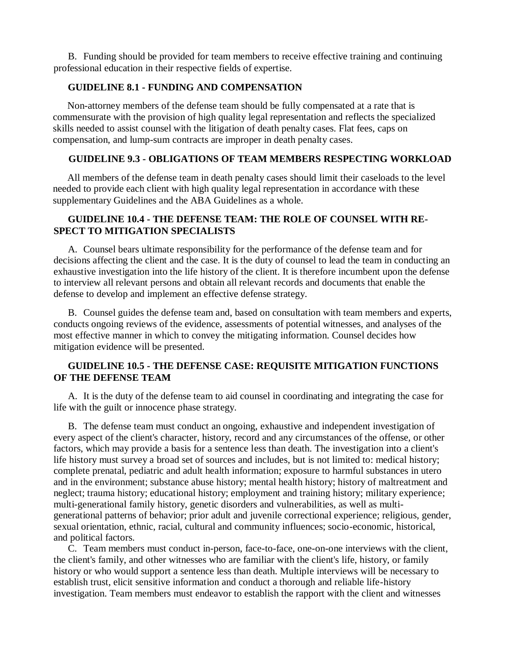B. Funding should be provided for team members to receive effective training and continuing professional education in their respective fields of expertise.

### **GUIDELINE 8.1 - FUNDING AND COMPENSATION**

Non-attorney members of the defense team should be fully compensated at a rate that is commensurate with the provision of high quality legal representation and reflects the specialized skills needed to assist counsel with the litigation of death penalty cases. Flat fees, caps on compensation, and lump-sum contracts are improper in death penalty cases.

#### **GUIDELINE 9.3 - OBLIGATIONS OF TEAM MEMBERS RESPECTING WORKLOAD**

All members of the defense team in death penalty cases should limit their caseloads to the level needed to provide each client with high quality legal representation in accordance with these supplementary Guidelines and the ABA Guidelines as a whole.

#### **GUIDELINE 10.4 - THE DEFENSE TEAM: THE ROLE OF COUNSEL WITH RE-SPECT TO MITIGATION SPECIALISTS**

A. Counsel bears ultimate responsibility for the performance of the defense team and for decisions affecting the client and the case. It is the duty of counsel to lead the team in conducting an exhaustive investigation into the life history of the client. It is therefore incumbent upon the defense to interview all relevant persons and obtain all relevant records and documents that enable the defense to develop and implement an effective defense strategy.

B. Counsel guides the defense team and, based on consultation with team members and experts, conducts ongoing reviews of the evidence, assessments of potential witnesses, and analyses of the most effective manner in which to convey the mitigating information. Counsel decides how mitigation evidence will be presented.

## **GUIDELINE 10.5 - THE DEFENSE CASE: REQUISITE MITIGATION FUNCTIONS OF THE DEFENSE TEAM**

A. It is the duty of the defense team to aid counsel in coordinating and integrating the case for life with the guilt or innocence phase strategy.

B. The defense team must conduct an ongoing, exhaustive and independent investigation of every aspect of the client's character, history, record and any circumstances of the offense, or other factors, which may provide a basis for a sentence less than death. The investigation into a client's life history must survey a broad set of sources and includes, but is not limited to: medical history; complete prenatal, pediatric and adult health information; exposure to harmful substances in utero and in the environment; substance abuse history; mental health history; history of maltreatment and neglect; trauma history; educational history; employment and training history; military experience; multi-generational family history, genetic disorders and vulnerabilities, as well as multigenerational patterns of behavior; prior adult and juvenile correctional experience; religious, gender, sexual orientation, ethnic, racial, cultural and community influences; socio-economic, historical, and political factors.

C. Team members must conduct in-person, face-to-face, one-on-one interviews with the client, the client's family, and other witnesses who are familiar with the client's life, history, or family history or who would support a sentence less than death. Multiple interviews will be necessary to establish trust, elicit sensitive information and conduct a thorough and reliable life-history investigation. Team members must endeavor to establish the rapport with the client and witnesses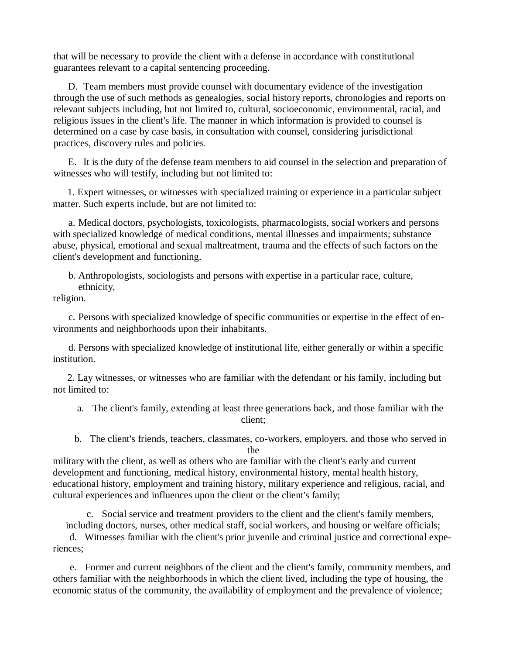that will be necessary to provide the client with a defense in accordance with constitutional guarantees relevant to a capital sentencing proceeding.

D. Team members must provide counsel with documentary evidence of the investigation through the use of such methods as genealogies, social history reports, chronologies and reports on relevant subjects including, but not limited to, cultural, socioeconomic, environmental, racial, and religious issues in the client's life. The manner in which information is provided to counsel is determined on a case by case basis, in consultation with counsel, considering jurisdictional practices, discovery rules and policies.

E. It is the duty of the defense team members to aid counsel in the selection and preparation of witnesses who will testify, including but not limited to:

1. Expert witnesses, or witnesses with specialized training or experience in a particular subject matter. Such experts include, but are not limited to:

a. Medical doctors, psychologists, toxicologists, pharmacologists, social workers and persons with specialized knowledge of medical conditions, mental illnesses and impairments; substance abuse, physical, emotional and sexual maltreatment, trauma and the effects of such factors on the client's development and functioning.

b. Anthropologists, sociologists and persons with expertise in a particular race, culture, ethnicity,

religion.

c. Persons with specialized knowledge of specific communities or expertise in the effect of environments and neighborhoods upon their inhabitants.

d. Persons with specialized knowledge of institutional life, either generally or within a specific institution.

2. Lay witnesses, or witnesses who are familiar with the defendant or his family, including but not limited to:

a. The client's family, extending at least three generations back, and those familiar with the client;

b. The client's friends, teachers, classmates, co-workers, employers, and those who served in the

military with the client, as well as others who are familiar with the client's early and current development and functioning, medical history, environmental history, mental health history, educational history, employment and training history, military experience and religious, racial, and cultural experiences and influences upon the client or the client's family;

c. Social service and treatment providers to the client and the client's family members, including doctors, nurses, other medical staff, social workers, and housing or welfare officials;

d. Witnesses familiar with the client's prior juvenile and criminal justice and correctional experiences;

e. Former and current neighbors of the client and the client's family, community members, and others familiar with the neighborhoods in which the client lived, including the type of housing, the economic status of the community, the availability of employment and the prevalence of violence;